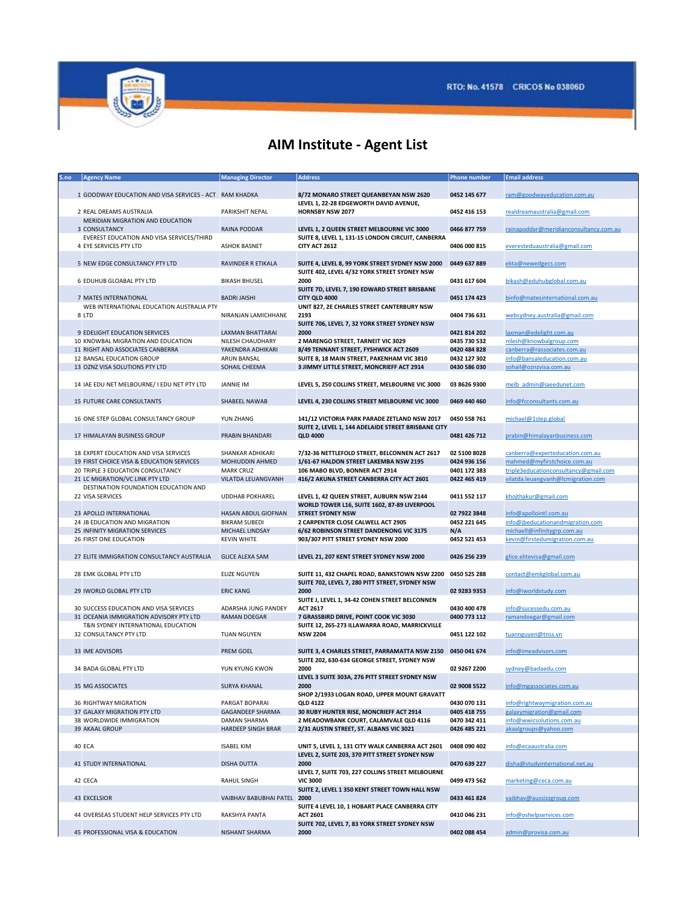

## AIM Institute - Agent List

| S.no | <b>Agency Name</b>                                     | <b>Managing Director</b>  | <b>Address</b>                                      | Phone number | <b>Email address</b>                   |
|------|--------------------------------------------------------|---------------------------|-----------------------------------------------------|--------------|----------------------------------------|
|      |                                                        |                           |                                                     |              |                                        |
|      | 1 GOODWAY EDUCATION AND VISA SERVICES - ACT RAM KHADKA |                           | 8/72 MONARO STREET QUEANBEYAN NSW 2620              | 0452 145 677 | ram@goodwayeducation.com.au            |
|      |                                                        |                           | LEVEL 1, 22-28 EDGEWORTH DAVID AVENUE,              |              |                                        |
|      |                                                        |                           |                                                     |              |                                        |
|      | 2 REAL DREAMS AUSTRALIA                                | PARIKSHIT NEPAL           | <b>HORNSBY NSW 2077</b>                             | 0452 416 153 | realdreamaustralia@gmail.com           |
|      | MERIDIAN MIGRATION AND EDUCATION                       |                           |                                                     |              |                                        |
|      | 3 CONSULTANCY                                          | RAINA PODDAR              | LEVEL 1, 2 QUEEN STREET MELBOURNE VIC 3000          | 0466 877 759 | rainapoddar@meridianconsultancy.com.au |
|      | EVEREST EDUCATION AND VISA SERVICES/THIRD              |                           | SUITE 8, LEVEL 1, 131-15 LONDON CIRCUIT, CANBERRA   |              |                                        |
|      | 4 EYE SERVICES PTY LTD                                 | <b>ASHOK BASNET</b>       | CITY ACT 2612                                       | 0406 000 815 | everesteduaustralia@gmail.com          |
|      |                                                        |                           |                                                     |              |                                        |
|      |                                                        |                           |                                                     |              |                                        |
|      | 5 NEW EDGE CONSULTANCY PTY LTD                         | RAVINDER R ETIKALA        | SUITE 4, LEVEL 8, 99 YORK STREET SYDNEY NSW 2000    | 0449 637 889 | ekta@newedgecs.com                     |
|      |                                                        |                           | SUITE 402, LEVEL 4/32 YORK STREET SYDNEY NSW        |              |                                        |
|      | 6 EDUHUB GLOABAL PTY LTD                               | <b>BIKASH BHUSEL</b>      | 2000                                                | 0431 617 604 | bikash@eduhubglobal.com.au             |
|      |                                                        |                           | SUITE 7D, LEVEL 7, 190 EDWARD STREET BRISBANE       |              |                                        |
|      | 7 MATES INTERNATIONAL                                  | <b>BADRI JAISHI</b>       | CITY QLD 4000                                       | 0451 174 423 | binfo@matesinternational.com.au        |
|      | WEB INTERNATIONAL EDUCATION AUSTRALIA PTY              |                           | UNIT 827, 2E CHARLES STREET CANTERBURY NSW          |              |                                        |
|      |                                                        |                           |                                                     |              |                                        |
|      | 8 LTD                                                  | NIRANJAN LAMICHHANE       | 2193                                                | 0404 736 631 | websydney.australia@gmail.com          |
|      |                                                        |                           | SUITE 706, LEVEL 7, 32 YORK STREET SYDNEY NSW       |              |                                        |
|      | 9 EDELIGHT EDUCATION SERVICES                          | LAXMAN BHATTARAI          | 2000                                                | 0421 814 202 | laxman@edelight.com.au                 |
|      | 10 KNOWBAL MIGRATION AND EDUCATION                     | NILESH CHAUDHARY          | 2 MARENGO STREET, TARNEIT VIC 3029                  | 0435 730 532 | nilesh@knowbalgroup.com                |
|      | 11 RIGHT AND ASSOCIATES CANBERRA                       | YAKENDRA ADHIKARI         | 8/49 TENNANT STREET, FYSHWICK ACT 2609              | 0420 484 828 | canberra@rassociates.com.au            |
|      | 12 BANSAL EDUCATION GROUP                              | ARUN BANSAL               | SUITE 8, 18 MAIN STREET, PAKENHAM VIC 3810          | 0432 127 302 | info@bansaleducation.com.au            |
|      |                                                        |                           |                                                     |              |                                        |
|      | 13 OZNZ VISA SOLUTIONS PTY LTD                         | SOHAIL CHEEMA             | 3 JIMMY LITTLE STREET, MONCRIEFF ACT 2914           | 0430 586 030 | sohail@oznzvisa.com.au                 |
|      |                                                        |                           |                                                     |              |                                        |
|      | 14 IAE EDU NET MELBOURNE/ I EDU NET PTY LTD            | <b>JANNIE IM</b>          | LEVEL 5, 250 COLLINS STREET, MELBOURNE VIC 3000     | 03 8626 9300 | melb admin@iaeedunet.com               |
|      |                                                        |                           |                                                     |              |                                        |
|      | <b>15 FUTURE CARE CONSULTANTS</b>                      | <b>SHABEEL NAWAB</b>      | LEVEL 4, 230 COLLINS STREET MELBOURNE VIC 3000      | 0469 440 460 | info@fcconsultants.com.au              |
|      |                                                        |                           |                                                     |              |                                        |
|      |                                                        |                           |                                                     |              |                                        |
|      | 16 ONE STEP GLOBAL CONSULTANCY GROUP                   | YUN ZHANG                 | 141/12 VICTORIA PARK PARADE ZETLAND NSW 2017        | 0450 558 761 | michael@1step.global                   |
|      |                                                        |                           | SUITE 2, LEVEL 1, 144 ADELAIDE STREET BRISBANE CITY |              |                                        |
|      | 17 HIMALAYAN BUSINESS GROUP                            | PRABIN BHANDARI           | <b>QLD 4000</b>                                     | 0481 426 712 | prabin@himalayanbusiness.com           |
|      |                                                        |                           |                                                     |              |                                        |
|      | 18 EXPERT EDUCATION AND VISA SERVICES                  | SHANKAR ADHIKARI          | 7/32-36 NETTLEFOLD STREET, BELCONNEN ACT 2617       | 02 5100 8028 | canberra@experteducation.com.au        |
|      | 19 FIRST CHOICE VISA & EDUCATION SERVICES              | <b>MOHIUDDIN AHMED</b>    | 1/61-67 HALDON STREET LAKEMBA NSW 2195              | 0424 936 156 | mahmed@myfirstchoice.com.au            |
|      |                                                        |                           |                                                     |              | triple3educationconsultancy@gmail.com  |
|      | 20 TRIPLE 3 EDUCATION CONSULTANCY                      | <b>MARK CRUZ</b>          | 106 MABO BLVD, BONNER ACT 2914                      | 0401 172 383 |                                        |
|      | 21 LC MIGRATION/VC LINK PTY LTD                        | <b>VILATDA LEUANGVANH</b> | 416/2 AKUNA STREET CANBERRA CITY ACT 2601           | 0422 465 419 | vilatda.leuangvanh@lcmigration.com     |
|      | DESTINATION FOUNDATION EDUCATION AND                   |                           |                                                     |              |                                        |
|      | 22 VISA SERVICES                                       | <b>UDDHAB POKHAREL</b>    | LEVEL 1, 42 QUEEN STREET, AUBURN NSW 2144           | 0411 552 117 | khojthakur@gmail.com                   |
|      |                                                        |                           | WORLD TOWER L16, SUITE 1602, 87-89 LIVERPOOL        |              |                                        |
|      | 23 APOLLO INTERNATIONAL                                | HASAN ABDUL GIOFNAN       | <b>STREET SYDNEY NSW</b>                            | 02 7922 3848 | info@apollointl.com.au                 |
|      |                                                        |                           |                                                     |              |                                        |
|      | 24 JB EDUCATION AND MIGRATION                          | <b>BIKRAM SUBEDI</b>      | 2 CARPENTER CLOSE CALWELL ACT 2905                  | 0452 221 645 | info@jbeducationandmigration.com       |
|      | 25 INFINITY MIGRATION SERVICES                         | MICHAEL LINDSAY           | 6/62 ROBINSON STREET DANDENONG VIC 3175             | N/A          | michaell@infinitygrp.com.au            |
|      | 26 FIRST ONE EDUCATION                                 | <b>KEVIN WHITE</b>        | 903/307 PITT STREET SYDNEY NSW 2000                 | 0452 521 453 | kevin@firstedumigration.com.au         |
|      |                                                        |                           |                                                     |              |                                        |
|      | 27 ELITE IMMIGRATION CONSULTANCY AUSTRALIA             | <b>GLICE ALEXA SAM</b>    | LEVEL 21, 207 KENT STREET SYDNEY NSW 2000           | 0426 256 239 | glice.elitevisa@gmail.com              |
|      |                                                        |                           |                                                     |              |                                        |
|      | 28 EMK GLOBAL PTY LTD                                  | <b>ELIZE NGUYEN</b>       | SUITE 11, 432 CHAPEL ROAD, BANKSTOWN NSW 2200       | 0450 525 288 | contact@emkglobal.com.au               |
|      |                                                        |                           |                                                     |              |                                        |
|      |                                                        |                           | SUITE 702, LEVEL 7, 280 PITT STREET, SYDNEY NSW     |              |                                        |
|      | 29 IWORLD GLOBAL PTY LTD                               | <b>ERIC KANG</b>          | 2000                                                | 02 9283 9353 | info@iworldstudy.com                   |
|      |                                                        |                           | SUITE J, LEVEL 1, 34-42 COHEN STREET BELCONNEN      |              |                                        |
|      | 30 SUCCESS EDUCATION AND VISA SERVICES                 | ADARSHA JUNG PANDEY       | <b>ACT 2617</b>                                     | 0430 400 478 | info@sucessedu.com.au                  |
|      | 31 OCEANIA IMMIGRATION ADVISORY PTY LTD                | <b>RAMAN DOEGAR</b>       | 7 GRASSBIRD DRIVE, POINT COOK VIC 3030              | 0400 773 112 | ramandoegar@gmail.com                  |
|      | T&N SYDNEY INTERNATIONAL EDUCATION                     |                           | SUITE 12, 265-273 ILLAWARRA ROAD, MARRICKVILLE      |              |                                        |
|      | 32 CONSULTANCY PTY LTD                                 | <b>TUAN NGUYEN</b>        | <b>NSW 2204</b>                                     | 0451 122 102 |                                        |
|      |                                                        |                           |                                                     |              | tuannguyen@tnss.vn                     |
|      |                                                        |                           |                                                     |              |                                        |
|      | 33 IME ADVISORS                                        | PREM GOEL                 | SUITE 3, 4 CHARLES STREET, PARRAMATTA NSW 2150      | 0450 041 674 | info@imeadvisors.com                   |
|      |                                                        |                           | SUITE 202, 630-634 GEORGE STREET, SYDNEY NSW        |              |                                        |
|      | 34 BADA GLOBAL PTY LTD                                 | YUN KYUNG KWON            | 2000                                                | 02 9267 2200 | sydney@badaedu.com                     |
|      |                                                        |                           | LEVEL 3 SUITE 303A, 276 PITT STREET SYDNEY NSW      |              |                                        |
|      | 35 MG ASSOCIATES                                       | <b>SURYA KHANAL</b>       | 2000                                                | 02 9008 5522 | info@mgassociates.com.au               |
|      |                                                        |                           |                                                     |              |                                        |
|      |                                                        |                           | SHOP 2/1933 LOGAN ROAD, UPPER MOUNT GRAVATT         |              |                                        |
|      | 36 RIGHTWAY MIGRATION                                  | PARGAT BOPARAI            | <b>OLD 4122</b>                                     | 0430 070 131 | info@rightwaymigration.com.au          |
|      | 37 GALAXY MIGRATION PTY LTD                            | GAGANDEEP SHARMA          | 30 RUBY HUNTER RISE, MONCRIEFF ACT 2914             | 0405 418 755 | galaxymigration@gmail.com              |
|      | 38 WORLDWIDE IMMIGRATION                               | <b>DAMAN SHARMA</b>       | 2 MEADOWBANK COURT, CALAMVALE QLD 4116              | 0470 342 411 | info@wwicsolutions.com.au              |
|      | 39 AKAAL GROUP                                         | HARDEEP SINGH BRAR        | 2/31 AUSTIN STREET, ST. ALBANS VIC 3021             | 0426 485 221 | akaalgroups@yahoo.com                  |
|      |                                                        |                           |                                                     |              |                                        |
|      | 40 ECA                                                 | <b>ISABEL KIM</b>         | UNIT 5, LEVEL 1, 131 CITY WALK CANBERRA ACT 2601    | 0408 090 402 | info@ecaaustralia.com                  |
|      |                                                        |                           | LEVEL 2, SUITE 203, 370 PITT STREET SYDNEY NSW      |              |                                        |
|      |                                                        |                           |                                                     |              |                                        |
|      | 41 STUDY INTERNATIONAL                                 | <b>DISHA DUTTA</b>        | 2000                                                | 0470 639 227 | disha@studyinternational.net.au        |
|      |                                                        |                           | LEVEL 7, SUITE 703, 227 COLLINS STREET MELBOURNE    |              |                                        |
|      | 42 CECA                                                | RAHUL SINGH               | <b>VIC 3000</b>                                     | 0499 473 562 | marketing@ceca.com.au                  |
|      |                                                        |                           | SUITE 2, LEVEL 1 350 KENT STREET TOWN HALL NSW      |              |                                        |
|      | 43 EXCELSIOR                                           | VAIBHAV BABUBHAI PATEL    | 2000                                                | 0433 461 824 | vaibhav@aussizzgroup.com               |
|      |                                                        |                           | SUITE 4 LEVEL 10, 1 HOBART PLACE CANBERRA CITY      |              |                                        |
|      | 44 OVERSEAS STUDENT HELP SERVICES PTY LTD              | RAKSHYA PANTA             | <b>ACT 2601</b>                                     | 0410 046 231 | info@oshelpservices.com                |
|      |                                                        |                           |                                                     |              |                                        |
|      |                                                        |                           | SUITE 702, LEVEL 7, 83 YORK STREET SYDNEY NSW       |              |                                        |
|      | 45 PROFESSIONAL VISA & EDUCATION                       | NISHANT SHARMA            | 2000                                                | 0402 088 454 | admin@provisa.com.au                   |
|      |                                                        |                           |                                                     |              |                                        |